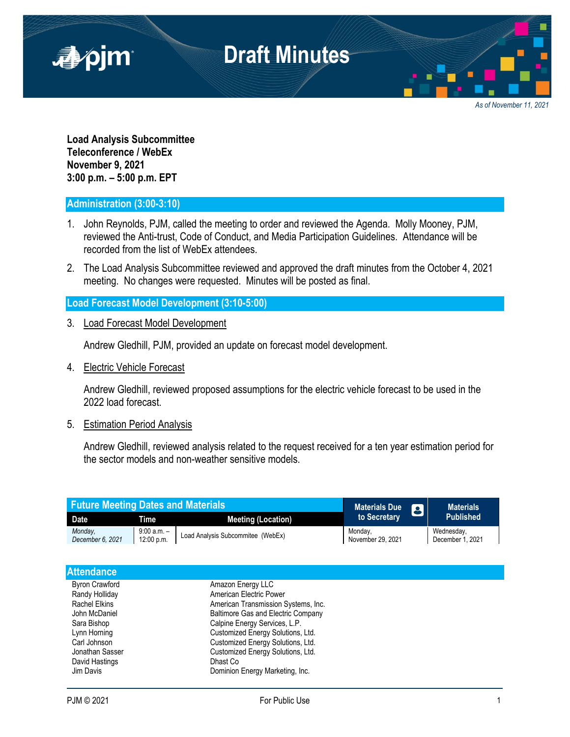

*As of November 11, 2021*

**Load Analysis Subcommittee Teleconference / WebEx November 9, 2021 3:00 p.m. – 5:00 p.m. EPT**

## **Administration (3:00-3:10)**

- 1. John Reynolds, PJM, called the meeting to order and reviewed the Agenda. Molly Mooney, PJM, reviewed the Anti-trust, Code of Conduct, and Media Participation Guidelines. Attendance will be recorded from the list of WebEx attendees.
- 2. The Load Analysis Subcommittee reviewed and approved the draft minutes from the October 4, 2021 meeting. No changes were requested. Minutes will be posted as final.

## **Load Forecast Model Development (3:10-5:00)**

3. Load Forecast Model Development

Andrew Gledhill, PJM, provided an update on forecast model development.

4. Electric Vehicle Forecast

Andrew Gledhill, reviewed proposed assumptions for the electric vehicle forecast to be used in the 2022 load forecast.

## 5. Estimation Period Analysis

Andrew Gledhill, reviewed analysis related to the request received for a ten year estimation period for the sector models and non-weather sensitive models.

| <b>Future Meeting Dates and Materials</b> |                             |                                   | <b>Materials Due</b>         | 8 | <b>Materials</b>               |
|-------------------------------------------|-----------------------------|-----------------------------------|------------------------------|---|--------------------------------|
| <b>Date</b>                               | Time                        | <b>Meeting (Location)</b>         | to Secretary                 |   | <b>Published</b>               |
| Monday.<br>December 6, 2021               | $9:00 a.m. -$<br>12:00 p.m. | Load Analysis Subcommitee (WebEx) | Monday,<br>November 29, 2021 |   | Wednesday,<br>December 1, 2021 |
|                                           |                             |                                   |                              |   |                                |

| <b>Attendance</b>     |                                           |  |
|-----------------------|-------------------------------------------|--|
| <b>Byron Crawford</b> | Amazon Energy LLC                         |  |
| Randy Holliday        | American Electric Power                   |  |
| <b>Rachel Elkins</b>  | American Transmission Systems, Inc.       |  |
| John McDaniel         | <b>Baltimore Gas and Electric Company</b> |  |
| Sara Bishop           | Calpine Energy Services, L.P.             |  |
| Lynn Horning          | Customized Energy Solutions, Ltd.         |  |
| Carl Johnson          | Customized Energy Solutions, Ltd.         |  |
| Jonathan Sasser       | Customized Energy Solutions, Ltd.         |  |
| David Hastings        | Dhast Co                                  |  |
| Jim Davis             | Dominion Energy Marketing, Inc.           |  |
|                       |                                           |  |